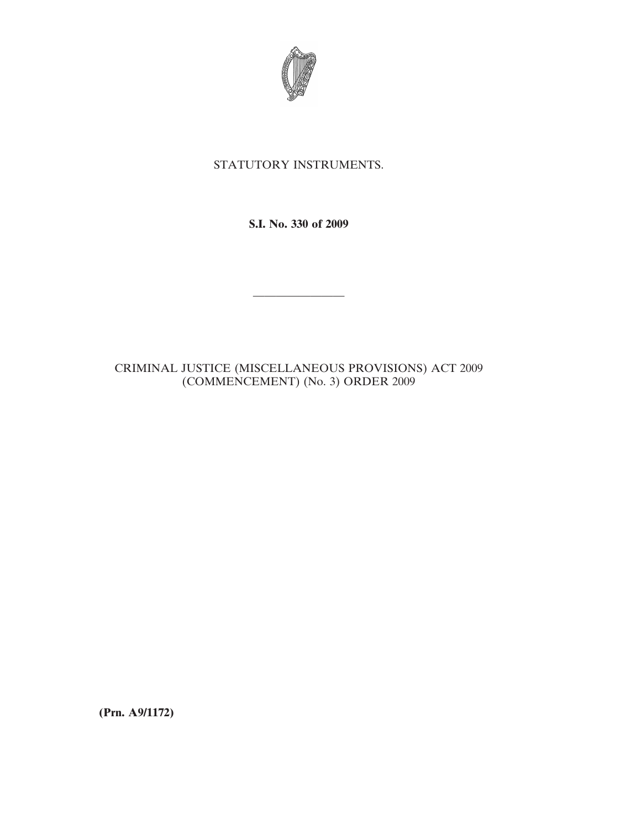

## STATUTORY INSTRUMENTS.

**S.I. No. 330 of 2009**

————————

CRIMINAL JUSTICE (MISCELLANEOUS PROVISIONS) ACT 2009 (COMMENCEMENT) (No. 3) ORDER 2009

**(Prn. A9/1172)**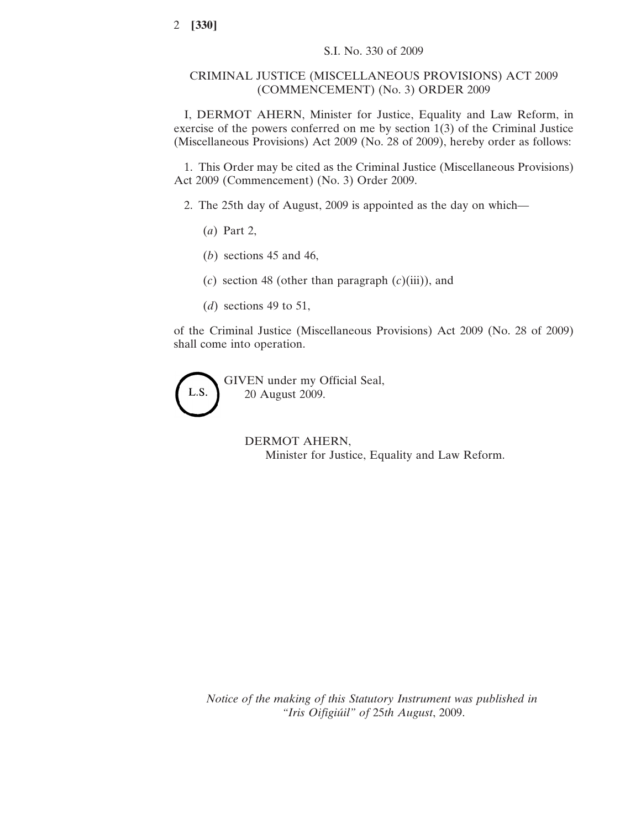## CRIMINAL JUSTICE (MISCELLANEOUS PROVISIONS) ACT 2009 (COMMENCEMENT) (No. 3) ORDER 2009

I, DERMOT AHERN, Minister for Justice, Equality and Law Reform, in exercise of the powers conferred on me by section 1(3) of the Criminal Justice (Miscellaneous Provisions) Act 2009 (No. 28 of 2009), hereby order as follows:

1. This Order may be cited as the Criminal Justice (Miscellaneous Provisions) Act 2009 (Commencement) (No. 3) Order 2009.

2. The 25th day of August, 2009 is appointed as the day on which—

- (*a*) Part 2,
- (*b*) sections 45 and 46,
- (*c*) section 48 (other than paragraph (*c*)(iii)), and
- (*d*) sections 49 to 51,

of the Criminal Justice (Miscellaneous Provisions) Act 2009 (No. 28 of 2009) shall come into operation.

GIVEN under my Official Seal, L.S. 20 August 2009.

> DERMOT AHERN, Minister for Justice, Equality and Law Reform.

*Notice of the making of this Statutory Instrument was published in "Iris Oifigiu´il" of* 25*th August*, 2009.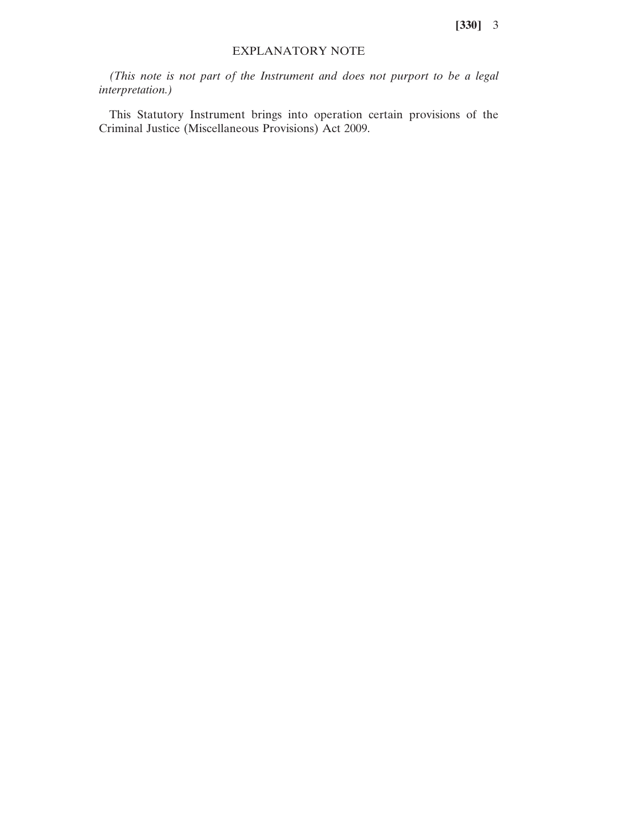**[330]** 3

## EXPLANATORY NOTE

*(This note is not part of the Instrument and does not purport to be a legal interpretation.)*

This Statutory Instrument brings into operation certain provisions of the Criminal Justice (Miscellaneous Provisions) Act 2009.